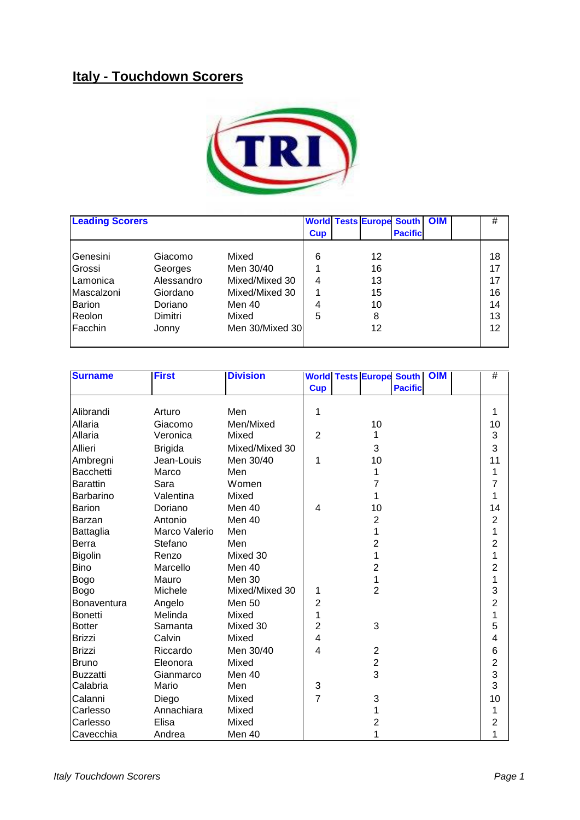## **Italy - Touchdown Scorers**



| <b>Leading Scorers</b> |            |                 | <b>World</b> | <b>Tests Europe South OIM</b> |                |  | #  |
|------------------------|------------|-----------------|--------------|-------------------------------|----------------|--|----|
|                        |            |                 | <b>Cup</b>   |                               | <b>Pacific</b> |  |    |
| Genesini               | Giacomo    | Mixed           | 6            | 12                            |                |  | 18 |
| Grossi                 | Georges    | Men 30/40       |              | 16                            |                |  | 17 |
| Lamonica               | Alessandro | Mixed/Mixed 30  | 4            | 13                            |                |  | 17 |
| Mascalzoni             | Giordano   | Mixed/Mixed 30  |              | 15                            |                |  | 16 |
| <b>Barion</b>          | Doriano    | Men 40          | 4            | 10                            |                |  | 14 |
| Reolon                 | Dimitri    | Mixed           | 5            | 8                             |                |  | 13 |
| Facchin                | Jonny      | Men 30/Mixed 30 |              | 12                            |                |  | 12 |

| <b>Surname</b>   | <b>First</b>   | <b>Division</b> |                |                | <b>World Tests Europe South</b> | <b>OIM</b> | #              |
|------------------|----------------|-----------------|----------------|----------------|---------------------------------|------------|----------------|
|                  |                |                 | <b>Cup</b>     |                | <b>Pacific</b>                  |            |                |
|                  |                |                 |                |                |                                 |            |                |
| Alibrandi        | Arturo         | Men             | 1              |                |                                 |            | 1              |
| Allaria          | Giacomo        | Men/Mixed       |                | 10             |                                 |            | 10             |
| Allaria          | Veronica       | Mixed           | $\overline{2}$ |                |                                 |            | 3              |
| Allieri          | <b>Brigida</b> | Mixed/Mixed 30  |                | 3              |                                 |            | 3              |
| Ambregni         | Jean-Louis     | Men 30/40       | 1              | 10             |                                 |            | 11             |
| <b>Bacchetti</b> | Marco          | Men             |                | 1              |                                 |            | 1              |
| <b>Barattin</b>  | Sara           | Women           |                | 7              |                                 |            | 7              |
| Barbarino        | Valentina      | Mixed           |                |                |                                 |            | 1              |
| <b>Barion</b>    | Doriano        | Men 40          | 4              | 10             |                                 |            | 14             |
| <b>Barzan</b>    | Antonio        | Men 40          |                | $\overline{2}$ |                                 |            | $\overline{2}$ |
| Battaglia        | Marco Valerio  | Men             |                | 1              |                                 |            | 1              |
| Berra            | Stefano        | Men             |                | 2              |                                 |            | $\overline{2}$ |
| <b>Bigolin</b>   | Renzo          | Mixed 30        |                | 1              |                                 |            | 1              |
| <b>Bino</b>      | Marcello       | Men 40          |                | $\overline{2}$ |                                 |            | $\overline{2}$ |
| <b>Bogo</b>      | Mauro          | Men 30          |                | 1              |                                 |            | 1              |
| <b>Bogo</b>      | Michele        | Mixed/Mixed 30  | 1              | $\overline{2}$ |                                 |            | 3              |
| Bonaventura      | Angelo         | <b>Men 50</b>   | $\overline{2}$ |                |                                 |            | $\overline{2}$ |
| <b>Bonetti</b>   | Melinda        | Mixed           | 1              |                |                                 |            | 1              |
| <b>Botter</b>    | Samanta        | Mixed 30        | $\overline{2}$ | 3              |                                 |            | 5              |
| <b>Brizzi</b>    | Calvin         | Mixed           | 4              |                |                                 |            | 4              |
| <b>Brizzi</b>    | Riccardo       | Men 30/40       | 4              | $\overline{2}$ |                                 |            | 6              |
| <b>Bruno</b>     | Eleonora       | Mixed           |                | $\mathbf 2$    |                                 |            | $\overline{c}$ |
| <b>Buzzatti</b>  | Gianmarco      | Men 40          |                | 3              |                                 |            | 3              |
| Calabria         | Mario          | Men             | 3              |                |                                 |            | 3              |
| Calanni          | Diego          | Mixed           | $\overline{7}$ | 3              |                                 |            | 10             |
| Carlesso         | Annachiara     | Mixed           |                |                |                                 |            | 1              |
| Carlesso         | Elisa          | Mixed           |                | 2              |                                 |            | 2              |
| Cavecchia        | Andrea         | Men 40          |                |                |                                 |            | 1              |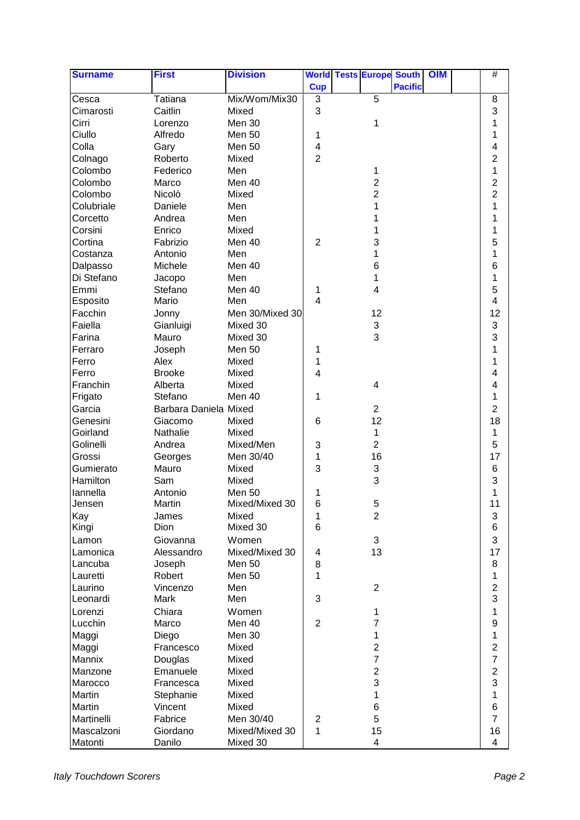| <b>Surname</b> | <b>First</b>          | <b>Division</b> |                         | <b>World Tests Europe South</b> |                | <b>OIM</b> | #                       |
|----------------|-----------------------|-----------------|-------------------------|---------------------------------|----------------|------------|-------------------------|
|                |                       |                 | <b>Cup</b>              |                                 | <b>Pacific</b> |            |                         |
| Cesca          | Tatiana               | Mix/Wom/Mix30   | 3                       | 5                               |                |            | 8                       |
| Cimarosti      | Caitlin               | Mixed           | 3                       |                                 |                |            | 3                       |
| Cirri          | Lorenzo               | Men 30          |                         | 1                               |                |            | 1                       |
| Ciullo         | Alfredo               | <b>Men 50</b>   | 1                       |                                 |                |            | 1                       |
| Colla          | Gary                  | Men 50          | 4                       |                                 |                |            | 4                       |
| Colnago        | Roberto               | Mixed           | $\overline{2}$          |                                 |                |            | 2                       |
| Colombo        | Federico              | Men             |                         | 1                               |                |            | 1                       |
| Colombo        | Marco                 | Men 40          |                         | $\overline{2}$                  |                |            | $\overline{2}$          |
| Colombo        | Nicolò                | Mixed           |                         | 2                               |                |            | $\overline{\mathbf{c}}$ |
| Colubriale     | Daniele               | Men             |                         | 1                               |                |            | 1                       |
| Corcetto       | Andrea                | Men             |                         |                                 |                |            | 1                       |
| Corsini        | Enrico                | Mixed           |                         |                                 |                |            | 1                       |
| Cortina        | Fabrizio              | Men 40          | $\overline{2}$          | 3                               |                |            | 5                       |
| Costanza       | Antonio               | Men             |                         | 1                               |                |            | 1                       |
| Dalpasso       | Michele               | Men 40          |                         | 6                               |                |            | 6                       |
| Di Stefano     | Jacopo                | Men             |                         |                                 |                |            | 1                       |
| Emmi           | Stefano               | Men 40          | 1                       | 4                               |                |            | 5                       |
| Esposito       | Mario                 | Men             | 4                       |                                 |                |            | 4                       |
| Facchin        | Jonny                 | Men 30/Mixed 30 |                         | 12                              |                |            | 12                      |
| Faiella        | Gianluigi             | Mixed 30        |                         | 3                               |                |            | 3                       |
| Farina         | Mauro                 | Mixed 30        |                         | 3                               |                |            | 3                       |
|                |                       |                 |                         |                                 |                |            | 1                       |
| Ferraro        | Joseph                | Men 50          | 1                       |                                 |                |            |                         |
| Ferro          | Alex                  | Mixed           | 1                       |                                 |                |            | 1                       |
| Ferro          | <b>Brooke</b>         | Mixed           | $\overline{\mathbf{4}}$ |                                 |                |            | 4                       |
| Franchin       | Alberta               | Mixed           |                         | 4                               |                |            | 4                       |
| Frigato        | Stefano               | Men 40          | 1                       |                                 |                |            | 1                       |
| Garcia         | Barbara Daniela Mixed |                 |                         | $\overline{2}$                  |                |            | $\overline{2}$          |
| Genesini       | Giacomo               | Mixed           | 6                       | 12                              |                |            | 18                      |
| Goirland       | Nathalie              | Mixed           |                         | 1                               |                |            | 1                       |
| Golinelli      | Andrea                | Mixed/Men       | 3                       | $\overline{2}$                  |                |            | 5                       |
| Grossi         | Georges               | Men 30/40       | 1                       | 16                              |                |            | 17                      |
| Gumierato      | Mauro                 | Mixed           | 3                       | 3                               |                |            | 6                       |
| Hamilton       | Sam                   | Mixed           |                         | 3                               |                |            | 3                       |
| lannella       | Antonio               | <b>Men 50</b>   | 1                       |                                 |                |            | 1                       |
| Jensen         | Martin                | Mixed/Mixed 30  | 6                       | 5                               |                |            | 11                      |
| Kay            | James                 | Mixed           | 1                       | 2                               |                |            | 3                       |
| Kingi          | Dion                  | Mixed 30        | 6                       |                                 |                |            | 6                       |
| Lamon          | Giovanna              | Women           |                         | 3                               |                |            | 3                       |
| Lamonica       | Alessandro            | Mixed/Mixed 30  | 4                       | 13                              |                |            | 17                      |
| Lancuba        | Joseph                | <b>Men 50</b>   | 8                       |                                 |                |            | 8                       |
| Lauretti       | Robert                | <b>Men 50</b>   | 1                       |                                 |                |            | 1                       |
| Laurino        | Vincenzo              | Men             |                         | $\overline{2}$                  |                |            | $\overline{c}$          |
| Leonardi       | Mark                  | Men             | 3                       |                                 |                |            | 3                       |
| Lorenzi        | Chiara                | Women           |                         | 1                               |                |            | 1                       |
| Lucchin        | Marco                 | Men 40          | $\overline{2}$          | 7                               |                |            | $\boldsymbol{9}$        |
| Maggi          | Diego                 | Men 30          |                         | 1                               |                |            | 1                       |
| Maggi          | Francesco             | Mixed           |                         | 2                               |                |            | $\overline{c}$          |
| Mannix         | Douglas               | Mixed           |                         | $\overline{7}$                  |                |            | 7                       |
| Manzone        | Emanuele              | Mixed           |                         | $\overline{c}$                  |                |            | $\overline{c}$          |
| Marocco        | Francesca             | Mixed           |                         | 3                               |                |            | 3                       |
| Martin         | Stephanie             | Mixed           |                         | 1                               |                |            | 1                       |
| Martin         | Vincent               | Mixed           |                         | 6                               |                |            | 6                       |
| Martinelli     | Fabrice               | Men 30/40       | $\overline{c}$          | 5                               |                |            | $\overline{7}$          |
| Mascalzoni     | Giordano              | Mixed/Mixed 30  | 1                       | 15                              |                |            | 16                      |
| Matonti        | Danilo                | Mixed 30        |                         | $\overline{4}$                  |                |            | 4                       |